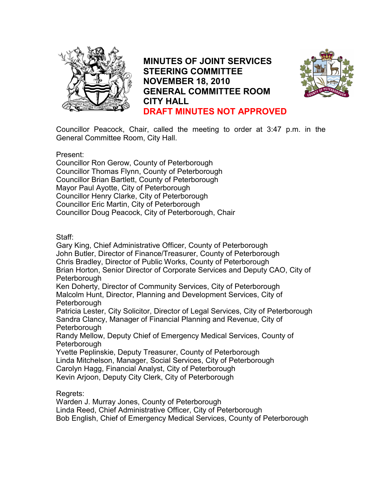

**MINUTES OF JOINT SERVICES STEERING COMMITTEE NOVEMBER 18, 2010 GENERAL COMMITTEE ROOM CITY HALL DRAFT MINUTES NOT APPROVED**



Councillor Peacock, Chair, called the meeting to order at 3:47 p.m. in the General Committee Room, City Hall.

Present:

Councillor Ron Gerow, County of Peterborough Councillor Thomas Flynn, County of Peterborough Councillor Brian Bartlett, County of Peterborough Mayor Paul Ayotte, City of Peterborough Councillor Henry Clarke, City of Peterborough Councillor Eric Martin, City of Peterborough Councillor Doug Peacock, City of Peterborough, Chair

Staff:

Gary King, Chief Administrative Officer, County of Peterborough John Butler, Director of Finance/Treasurer, County of Peterborough Chris Bradley, Director of Public Works, County of Peterborough Brian Horton, Senior Director of Corporate Services and Deputy CAO, City of Peterborough

Ken Doherty, Director of Community Services, City of Peterborough Malcolm Hunt, Director, Planning and Development Services, City of Peterborough

Patricia Lester, City Solicitor, Director of Legal Services, City of Peterborough Sandra Clancy, Manager of Financial Planning and Revenue, City of Peterborough

Randy Mellow, Deputy Chief of Emergency Medical Services, County of Peterborough

Yvette Peplinskie, Deputy Treasurer, County of Peterborough Linda Mitchelson, Manager, Social Services, City of Peterborough Carolyn Hagg, Financial Analyst, City of Peterborough Kevin Arjoon, Deputy City Clerk, City of Peterborough

Regrets:

Warden J. Murray Jones, County of Peterborough Linda Reed, Chief Administrative Officer, City of Peterborough

Bob English, Chief of Emergency Medical Services, County of Peterborough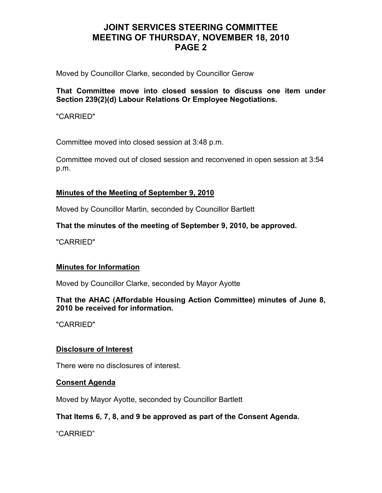Moved by Councillor Clarke, seconded by Councillor Gerow

## **That Committee move into closed session to discuss one item under Section 239(2)(d) Labour Relations Or Employee Negotiations.**

"CARRIED"

Committee moved into closed session at 3:48 p.m.

Committee moved out of closed session and reconvened in open session at 3:54 p.m.

## **Minutes of the Meeting of September 9, 2010**

Moved by Councillor Martin, seconded by Councillor Bartlett

## **That the minutes of the meeting of September 9, 2010, be approved.**

"CARRIED"

## **Minutes for Information**

Moved by Councillor Clarke, seconded by Mayor Ayotte

## **That the AHAC (Affordable Housing Action Committee) minutes of June 8, 2010 be received for information.**

"CARRIED"

## **Disclosure of Interest**

There were no disclosures of interest.

### **Consent Agenda**

Moved by Mayor Ayotte, seconded by Councillor Bartlett

## **That Items 6, 7, 8, and 9 be approved as part of the Consent Agenda.**

"CARRIED"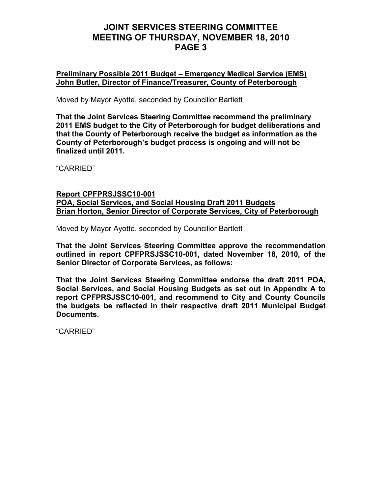**Preliminary Possible 2011 Budget – Emergency Medical Service (EMS) John Butler, Director of Finance/Treasurer, County of Peterborough**

Moved by Mayor Ayotte, seconded by Councillor Bartlett

**That the Joint Services Steering Committee recommend the preliminary 2011 EMS budget to the City of Peterborough for budget deliberations and that the County of Peterborough receive the budget as information as the County of Peterborough's budget process is ongoing and will not be finalized until 2011.** 

"CARRIED"

#### **Report CPFPRSJSSC10-001 POA, Social Services, and Social Housing Draft 2011 Budgets Brian Horton, Senior Director of Corporate Services, City of Peterborough**

Moved by Mayor Ayotte, seconded by Councillor Bartlett

**That the Joint Services Steering Committee approve the recommendation outlined in report CPFPRSJSSC10-001, dated November 18, 2010, of the Senior Director of Corporate Services, as follows:** 

**That the Joint Services Steering Committee endorse the draft 2011 POA, Social Services, and Social Housing Budgets as set out in Appendix A to report CPFPRSJSSC10-001, and recommend to City and County Councils the budgets be reflected in their respective draft 2011 Municipal Budget Documents.** 

"CARRIED"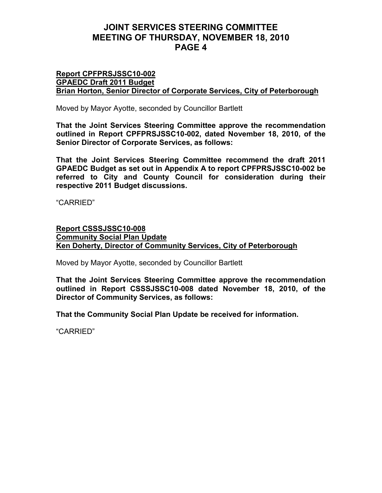#### **Report CPFPRSJSSC10-002 GPAEDC Draft 2011 Budget Brian Horton, Senior Director of Corporate Services, City of Peterborough**

Moved by Mayor Ayotte, seconded by Councillor Bartlett

**That the Joint Services Steering Committee approve the recommendation outlined in Report CPFPRSJSSC10-002, dated November 18, 2010, of the Senior Director of Corporate Services, as follows:** 

**That the Joint Services Steering Committee recommend the draft 2011 GPAEDC Budget as set out in Appendix A to report CPFPRSJSSC10-002 be referred to City and County Council for consideration during their respective 2011 Budget discussions.**

"CARRIED"

### **Report CSSSJSSC10-008 Community Social Plan Update Ken Doherty, Director of Community Services, City of Peterborough**

Moved by Mayor Ayotte, seconded by Councillor Bartlett

**That the Joint Services Steering Committee approve the recommendation outlined in Report CSSSJSSC10-008 dated November 18, 2010, of the Director of Community Services, as follows:** 

**That the Community Social Plan Update be received for information.** 

"CARRIED"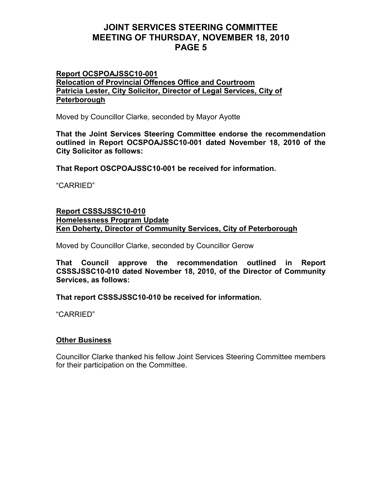#### **Report OCSPOAJSSC10-001 Relocation of Provincial Offences Office and Courtroom Patricia Lester, City Solicitor, Director of Legal Services, City of Peterborough**

Moved by Councillor Clarke, seconded by Mayor Ayotte

**That the Joint Services Steering Committee endorse the recommendation outlined in Report OCSPOAJSSC10-001 dated November 18, 2010 of the City Solicitor as follows:** 

**That Report OSCPOAJSSC10-001 be received for information.**

"CARRIED"

### **Report CSSSJSSC10-010 Homelessness Program Update Ken Doherty, Director of Community Services, City of Peterborough**

Moved by Councillor Clarke, seconded by Councillor Gerow

**That Council approve the recommendation outlined in Report CSSSJSSC10-010 dated November 18, 2010, of the Director of Community Services, as follows:** 

**That report CSSSJSSC10-010 be received for information.**

"CARRIED"

### **Other Business**

Councillor Clarke thanked his fellow Joint Services Steering Committee members for their participation on the Committee.